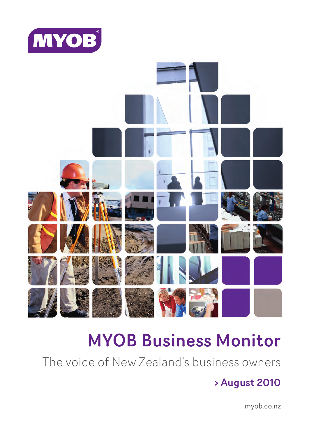



# MYOB Business Monitor

The voice of New Zealand's business owners

## > August 2010

myob.co.nz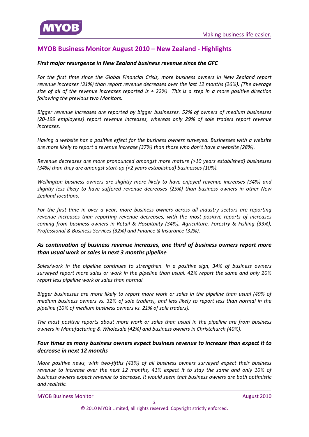

## **MYOB Business Monitor August 2010 – New Zealand ‐ Highlights**

#### *First major [resurgence](#page-7-0) in New Zealand business revenue since the GFC*

*For the first time since the Global Financial Crisis, more business owners in New Zealand report revenue increases (31%) than report revenue decreases over the last 12 months (26%). (The average* size of all of the revenue increases reported is  $+ 22%$ ) This is a step in a more positive direction *following the previous two Monitors.* 

*Bigger revenue increases are reported by bigger businesses. 52% of owners of medium businesses (20‐199 employees) report revenue increases, whereas only 29% of sole traders report revenue increases.*

*Having a website has a positive effect for the business owners surveyed. Businesses with a website are more likely to report a revenue increase (37%) than those who don't have a website (28%).*

*Revenue decreases are more pronounced amongst more mature (>10 years established) businesses (34%) than they are amongst start‐up (<2 years established) businesses (10%).*

*Wellington business owners are slightly more likely to have enjoyed revenue increases (34%) and slightly less likely to have suffered revenue decreases (25%) than business owners in other New Zealand locations.*

*For the first time in over a year, more business owners across all industry sectors are reporting revenue increases than reporting revenue decreases, with the most positive reports of increases coming from business owners in Retail & Hospitality (34%), Agriculture, Forestry & Fishing (33%), Professional & Business Services (32%) and Finance & Insurance (32%).*

#### *As [continuation](#page-12-0) of business revenue increases, one third of business owners report more than usual work or sales in next 3 months pipeline*

*Sales/work in the pipeline continues to strengthen. In a positive sign, 34% of business owners surveyed report more sales or work in the pipeline than usual, 42% report the same and only 20% report less pipeline work or sales than normal.*

*Bigger businesses are more likely to report more work or sales in the pipeline than usual (49% of medium business owners vs. 32% of sole traders), and less likely to report less than normal in the pipeline (10% of medium business owners vs. 21% of sole traders).*

*The most positive reports about more work or sales than usual in the pipeline are from business owners in Manufacturing & Wholesale (42%) and business owners in Christchurch (40%).*

#### *Four times as many business owners expect business revenue to increase than expect it to [decrease](#page-15-0) in next 12 months*

*More positive news, with two‐fifths (43%) of all business owners surveyed expect their business revenue to increase over the next 12 months, 41% expect it to stay the same and only 10% of business owners expect revenue to decrease. It would seem that business owners are both optimistic and realistic.*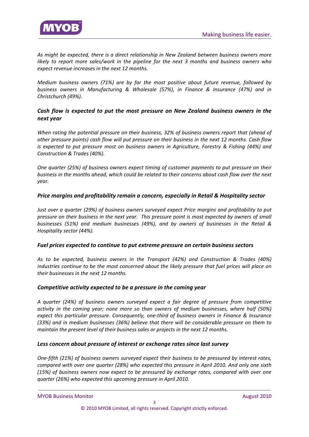

*As might be expected, there is a direct relationship in New Zealand between business owners more likely to report more sales/work in the pipeline for the next 3 months and business owners who expect revenue increases in the next 12 months.* 

*Medium business owners (71%) are by far the most positive about future revenue, followed by business owners in Manufacturing & Wholesale (57%), in Finance & Insurance (47%) and in Christchurch (49%).*

#### *Cash flow is [expected](#page-18-0) to put the most pressure on New Zealand business owners in the next year*

*When rating the potential pressure on their business, 32% of business owners report that (ahead of* other pressure points) cash flow will put pressure on their business in the next 12 months. Cash flow *is expected to put pressure most on business owners in Agriculture, Forestry & Fishing (44%) and Construction & Trades (40%).* 

*One quarter (25%) of business owners expect timing of customer payments to put pressure on their* business in the months ahead, which could be related to their concerns about cash flow over the next *year.* 

#### *Price margins and [profitability](#page-18-0) remain a concern, especially in Retail & Hospitality sector*

*Just over a quarter (29%) of business owners surveyed expect Price margins and profitability to put* pressure on their business in the next year. This pressure point is most expected by owners of small *businesses (51%) and medium businesses (49%), and by owners of businesses in the Retail & Hospitality sector (44%).*

#### *Fuel prices [expected](#page-18-0) to continue to put extreme pressure on certain business sectors*

*As to be expected, business owners in the Transport (42%) and Construction & Trades (40%) industries continue to be the most concerned about the likely pressure that fuel prices will place on their businesses in the next 12 months.* 

#### *[Competitive](#page-18-0) activity expected to be a pressure in the coming year*

*A quarter (24%) of business owners surveyed expect a fair degree of pressure from competitive activity in the coming year; none more so than owners of medium businesses, where half (50%) expect this particular pressure. Consequently, one‐third of business owners in Finance & Insurance (33%) and in medium businesses (36%) believe that there will be considerable pressure on them to maintain the present level of their business sales or projects in the next 12 months.*

#### *Less concern about pressure of interest or [exchange](#page-18-0) rates since last survey*

*One‐fifth (21%) of business owners surveyed expect their business to be pressured by interest rates, compared with over one quarter (28%) who expected this pressure in April 2010. And only one sixth (15%) of business owners now expect to be pressured by exchange rates, compared with over one quarter (26%) who expected this upcoming pressure in April 2010.*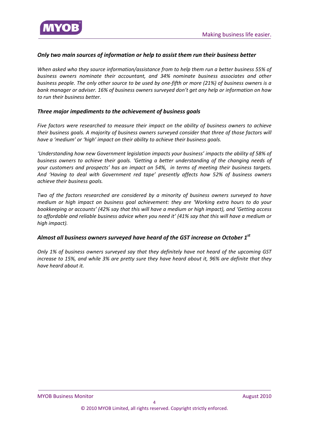

#### *Only two main sources of [information](#page-21-0) or help to assist them run their business better*

*When asked who they source information/assistance from to help them run a better business 55% of business owners nominate their accountant, and 34% nominate business associates and other* business people. The only other source to be used by one-fifth or more (21%) of business owners is a *bank manager or adviser. 16% of business owners surveyed don't get any help or information on how to run their business better.*

#### *Three major [impediments](#page-23-0) to the achievement of business goals*

*Five factors were researched to measure their impact on the ability of business owners to achieve their business goals. A majority of business owners surveyed consider that three of those factors will have a 'medium' or 'high' impact on their ability to achieve their business goals.* 

*'Understanding how new Government legislation impacts your business' impacts the ability of 58% of business owners to achieve their goals. 'Getting a better understanding of the changing needs of your customers and prospects' has an impact on 54%, in terms of meeting their business targets. And 'Having to deal with Government red tape' presently affects how 52% of business owners achieve their business goals.* 

*Two of the factors researched are considered by a minority of business owners surveyed to have medium or high impact on business goal achievement: they are 'Working extra hours to do your bookkeeping or accounts' (42% say that this will have a medium or high impact), and 'Getting access* to affordable and reliable business advice when you need it' (41% say that this will have a medium or *high impact).*

#### *Almost all business owners [surveyed](#page-24-0) have heard of the GST increase on October 1st*

*Only 1% of business owners surveyed say that they definitely have not heard of the upcoming GST* increase to 15%, and while 3% are pretty sure they have heard about it, 96% are definite that they *have heard about it.*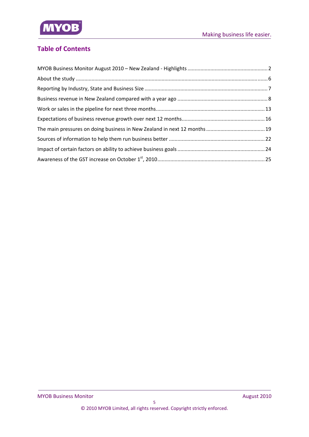

## **Table of Contents**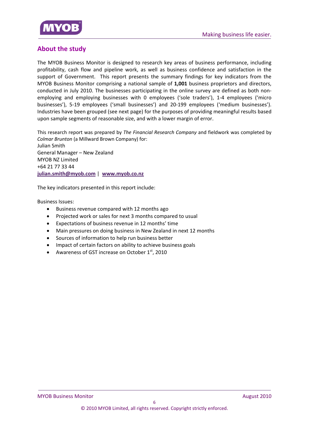

## **About the study**

The MYOB Business Monitor is designed to research key areas of business performance, including profitability, cash flow and pipeline work, as well as business confidence and satisfaction in the support of Government. This report presents the summary findings for key indicators from the MYOB Business Monitor comprising a national sample of **1,001** business proprietors and directors, conducted in July 2010. The businesses participating in the online survey are defined as both nonemploying and employing businesses with 0 employees ('sole traders'), 1‐4 employees ('micro businesses'), 5‐19 employees ('small businesses') and 20‐199 employees ('medium businesses'). Industries have been grouped (see next page) for the purposes of providing meaningful results based upon sample segments of reasonable size, and with a lower margin of error.

This research report was prepared by *The Financial Research Company* and fieldwork was completed by *Colmar Brunton* (a Millward Brown Company) for: Julian Smith General Manager – New Zealand MYOB NZ Limited +64 21 77 33 44 **julian.smith@myob.com** | **www.myob.co.nz**

The key indicators presented in this report include:

Business Issues:

- Business revenue compared with 12 months ago
- Projected work or sales for next 3 months compared to usual
- Expectations of business revenue in 12 months' time
- Main pressures on doing business in New Zealand in next 12 months
- Sources of information to help run business better
- Impact of certain factors on ability to achieve business goals
- Awareness of GST increase on October  $1<sup>st</sup>$ , 2010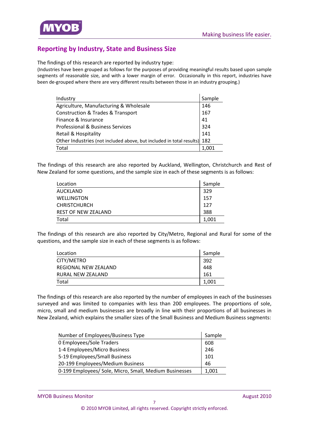

## **Reporting by Industry, State and Business Size**

The findings of this research are reported by industry type:

(Industries have been grouped as follows for the purposes of providing meaningful results based upon sample segments of reasonable size, and with a lower margin of error. Occasionally in this report, industries have been de-grouped where there are very different results between those in an industry grouping.)

| Industry                                                                 | Sample |
|--------------------------------------------------------------------------|--------|
| Agriculture, Manufacturing & Wholesale                                   | 146    |
| <b>Construction &amp; Trades &amp; Transport</b>                         | 167    |
| Finance & Insurance                                                      | 41     |
| Professional & Business Services                                         | 324    |
| Retail & Hospitality                                                     | 141    |
| Other Industries (not included above, but included in total results) 182 |        |
| Total                                                                    | 1.001  |

The findings of this research are also reported by Auckland, Wellington, Christchurch and Rest of New Zealand for some questions, and the sample size in each of these segments is as follows:

| Location            | Sample |
|---------------------|--------|
| <b>AUCKLAND</b>     | 329    |
| <b>WELLINGTON</b>   | 157    |
| <b>CHRISTCHURCH</b> | 127    |
| REST OF NEW ZEALAND | 388    |
| Total               | 1,001  |

The findings of this research are also reported by City/Metro, Regional and Rural for some of the questions, and the sample size in each of these segments is as follows:

| Location             | Sample |
|----------------------|--------|
| CITY/METRO           | 392    |
| REGIONAL NEW ZEALAND | 448    |
| RURAL NEW ZEALAND    | 161    |
| Total                | 1,001  |

The findings of this research are also reported by the number of employees in each of the businesses surveyed and was limited to companies with less than 200 employees. The proportions of sole, micro, small and medium businesses are broadly in line with their proportions of all businesses in New Zealand, which explains the smaller sizes of the Small Business and Medium Business segments:

| Number of Employees/Business Type                      | Sample |
|--------------------------------------------------------|--------|
| 0 Employees/Sole Traders                               | 608    |
| 1-4 Employees/Micro Business                           | 246    |
| 5-19 Employees/Small Business                          | 101    |
| 20-199 Employees/Medium Business                       | 46     |
| 0-199 Employees/ Sole, Micro, Small, Medium Businesses | 1,001  |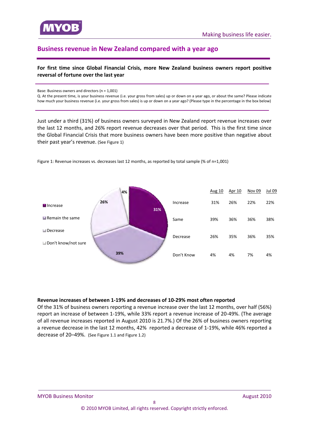<span id="page-7-0"></span>

## **Business revenue in New Zealand compared with a year ago**

#### **For first time since Global Financial Crisis, more New Zealand business owners report positive reversal of fortune over the last year**

Base: Business owners and directors (n = 1,001)

Q. At the present time, is your business revenue (i.e. your gross from sales) up or down on a year ago, or about the same? Please indicate how much your business revenue (i.e. your gross from sales) is up or down on a year ago? (Please type in the percentage in the box below)

Just under a third (31%) of business owners surveyed in New Zealand report revenue increases over the last 12 months, and 26% report revenue decreases over that period. This is the first time since the Global Financial Crisis that more business owners have been more positive than negative about their past year's revenue. (See Figure 1)



Figure 1: Revenue increases vs. decreases last 12 months, as reported by total sample (% of n=1,001)

#### **Revenue increases of between 1‐19% and decreases of 10‐29% most often reported**

Of the 31% of business owners reporting a revenue increase over the last 12 months, over half (56%) report an increase of between 1‐19%, while 33% report a revenue increase of 20‐49%. (The average of all revenue increases reported in August 2010 is 21.7%.) Of the 26% of business owners reporting a revenue decrease in the last 12 months, 42% reported a decrease of 1‐19%, while 46% reported a decrease of 20–49%. (See Figure 1.1 and Figure 1.2)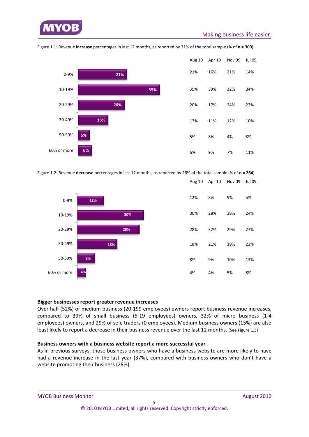



Figure 1.1: Revenue **increase** percentages in last 12 months, as reported by 31% of the total sample (% of **n = 309**)

Figure 1.2: Revenue **decrease** percentages in last 12 months, as reported by 26% of the total sample (% of **n = 264**)



|     | <u>Aug 10 Apr 10 Nov 09</u> |     | Jul 09 |
|-----|-----------------------------|-----|--------|
| 12% | 8%                          | 9%  | 5%     |
| 30% | 28%                         | 28% | 24%    |
| 28% | 32%                         | 29% | 27%    |
| 18% | 21%                         | 19% | 22%    |
| 8%  | 9%                          | 10% | 13%    |
| 4%  | 4%                          | 5%  | 8%     |

#### **Bigger businesses report greater revenue increases**

Over half (52%) of medium business (20‐199 employees) owners report business revenue increases, compared to 39% of small business (5‐19 employees) owners, 32% of micro business (1‐4 employees) owners, and 29% of sole traders (0 employees). Medium business owners (15%) are also least likely to report a decrease in their business revenue over the last 12 months. (See Figure 1.3)

#### **Business owners with a business website report a more successful year**

As in previous surveys, those business owners who have a business website are more likely to have had a revenue increase in the last year (37%), compared with business owners who don't have a website promoting their business (28%).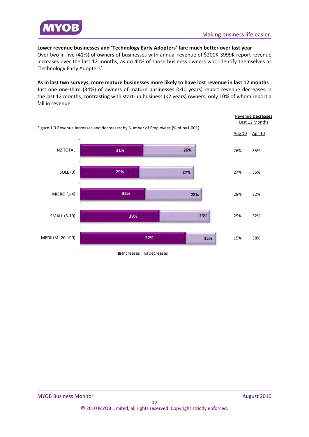

**Lower revenue businesses and 'Technology Early Adopters' fare much better over last year** Over two in five (41%) of owners of businesses with annual revenue of \$200K‐\$999K report revenue increases over the last 12 months, as do 40% of those business owners who identify themselves as 'Technology Early Adopters'.

**As in last two surveys, more mature businesses more likely to have lost revenue in last 12 months** Just one one‐third (34%) of owners of mature businesses (>10 years) report revenue decreases in the last 12 months, contrasting with start-up business (<2 years) owners, only 10% of whom report a fall in revenue.

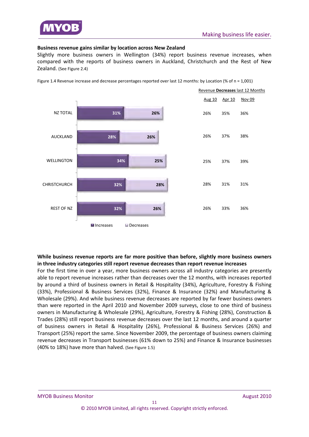

#### **Business revenue gains similar by location across New Zealand**

Slightly more business owners in Wellington (34%) report business revenue increases, when compared with the reports of business owners in Auckland, Christchurch and the Rest of New Zealand. (See Figure 2.4)



Figure 1.4 Revenue increase and decrease percentages reported over last 12 months: by Location (% of n = 1,001)

#### **While business revenue reports are far more positive than before, slightly more business owners in three industry categories still report revenue decreases than report revenue increases**

For the first time in over a year, more business owners across all industry categories are presently able to report revenue increases rather than decreases over the 12 months, with increases reported by around a third of business owners in Retail & Hospitality (34%), Agriculture, Forestry & Fishing (33%), Professional & Business Services (32%), Finance & Insurance (32%) and Manufacturing & Wholesale (29%). And while business revenue decreases are reported by far fewer business owners than were reported in the April 2010 and November 2009 surveys, close to one third of business owners in Manufacturing & Wholesale (29%), Agriculture, Forestry & Fishing (28%), Construction & Trades (28%) still report business revenue decreases over the last 12 months, and around a quarter of business owners in Retail & Hospitality (26%), Professional & Business Services (26%) and Transport (25%) report the same. Since November 2009, the percentage of business owners claiming revenue decreases in Transport businesses (61% down to 25%) and Finance & Insurance businesses (40% to 18%) have more than halved. (See Figure 1.5)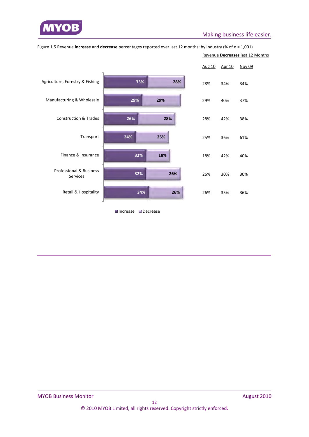

## Making business life easier.

|                                                |     |     | Aug 10 | Apr 10 | Nov 09 |
|------------------------------------------------|-----|-----|--------|--------|--------|
| Agriculture, Forestry & Fishing                | 33% | 28% | 28%    | 34%    | 34%    |
| Manufacturing & Wholesale                      | 29% | 29% | 29%    | 40%    | 37%    |
| <b>Construction &amp; Trades</b>               | 26% | 28% | 28%    | 42%    | 38%    |
| Transport                                      | 24% | 25% | 25%    | 36%    | 61%    |
| Finance & Insurance                            | 32% | 18% | 18%    | 42%    | 40%    |
| <b>Professional &amp; Business</b><br>Services | 32% | 26% | 26%    | 30%    | 30%    |
| Retail & Hospitality                           | 34% | 26% | 26%    | 35%    | 36%    |

Figure 1.5 Revenue **increase** and **decrease** percentages reported over last 12 months: by Industry (% of n = 1,001) Revenue **Decreases** last 12 Months

**■Increase ■Decrease**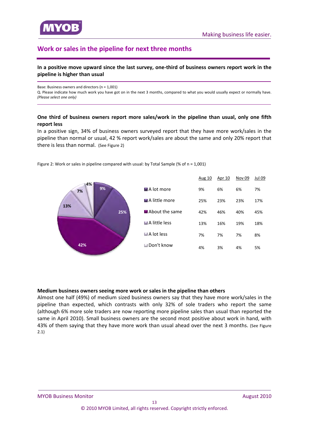<span id="page-12-0"></span>

## **Work or sales in the pipeline for next three months**

#### In a positive move upward since the last survey, one-third of business owners report work in the **pipeline is higher than usual**

Base: Business owners and directors (n = 1,001)

Q. Please indicate how much work you have got on in the next 3 months, compared to what you would usually expect or normally have. *(Please select one only)*

#### **One third of business owners report more sales/work in the pipeline than usual, only one fifth report less**

In a positive sign, 34% of business owners surveyed report that they have more work/sales in the pipeline than normal or usual, 42 % report work/sales are about the same and only 20% report that there is less than normal. (See Figure 2)



Figure 2: Work or sales in pipeline compared with usual: by Total Sample (% of n = 1,001)

#### **Medium business owners seeing more work or sales in the pipeline than others**

Almost one half (49%) of medium sized business owners say that they have more work/sales in the pipeline than expected, which contrasts with only 32% of sole traders who report the same (although 6% more sole traders are now reporting more pipeline sales than usual than reported the same in April 2010). Small business owners are the second most positive about work in hand, with 43% of them saying that they have more work than usual ahead over the next 3 months. (See Figure 2.1)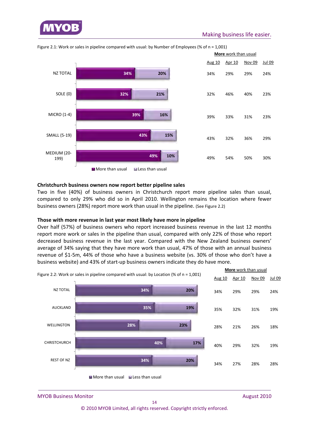



Figure 2.1: Work or sales in pipeline compared with usual: by Number of Employees (% of n = 1,001)

#### **Christchurch business owners now report better pipeline sales**

Two in five (40%) of business owners in Christchurch report more pipeline sales than usual, compared to only 29% who did so in April 2010. Wellington remains the location where fewer business owners (28%) report more work than usual in the pipeline. (See Figure 2.2)

#### **Those with more revenue in last year most likely have more in pipeline**

Over half (57%) of business owners who report increased business revenue in the last 12 months report more work or sales in the pipeline than usual, compared with only 22% of those who report decreased business revenue in the last year. Compared with the New Zealand business owners' average of 34% saying that they have more work than usual, 47% of those with an annual business revenue of \$1‐5m, 44% of those who have a business website (vs. 30% of those who don't have a business website) and 43% of start‐up business owners indicate they do have more.



MYOB Business Monitor *August 2010* 2010

© 2010 MYOB Limited, all rights reserved. Copyright strictly enforced.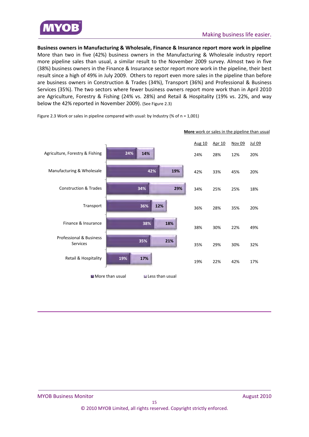

**Business owners in Manufacturing & Wholesale, Finance & Insurance report more work in pipeline**  More than two in five (42%) business owners in the Manufacturing & Wholesale industry report more pipeline sales than usual, a similar result to the November 2009 survey. Almost two in five (38%) business owners in the Finance & Insurance sector report more work in the pipeline, their best result since a high of 49% in July 2009. Others to report even more sales in the pipeline than before are business owners in Construction & Trades (34%), Transport (36%) and Professional & Business Services (35%). The two sectors where fewer business owners report more work than in April 2010 are Agriculture, Forestry & Fishing (24% vs. 28%) and Retail & Hospitality (19% vs. 22%, and way below the 42% reported in November 2009). (See Figure 2.3)

**24% 42% 34% 36% 38% 35% 19% 14% 19% 29% 12% 18% 21% 17%** Agriculture, Forestry & Fishing Manufacturing & Wholesale Construction & Trades Transport Finance & Insurance Professional & Business Services Retail & Hospitality  $\blacksquare$  More than usual  $\blacksquare$  Less than usual Aug 10 Apr 10 Nov 09 Jul 09 24% 28% 12% 20% 42% 33% 45% 20% 34% 25% 25% 18% 36% 28% 35% 20% 38% 30% 22% 49% 35% 29% 30% 32% 19% 22% 42% 17% **More** work or sales in the pipeline than usual

Figure 2.3 Work or sales in pipeline compared with usual: by Industry (% of n = 1,001)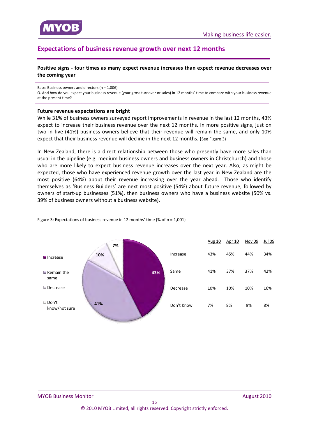<span id="page-15-0"></span>

## **Expectations of business revenue growth over next 12 months**

**Positive signs ‐ four times as many expect revenue increases than expect revenue decreases over the coming year**

Base: Business owners and directors (n = 1,006)

Q. And how do you expect your business revenue (your gross turnover or sales) in 12 months' time to compare with your business revenue at the present time?

#### **Future revenue expectations are bright**

While 31% of business owners surveyed report improvements in revenue in the last 12 months, 43% expect to increase their business revenue over the next 12 months. In more positive signs, just on two in five (41%) business owners believe that their revenue will remain the same, and only 10% expect that their business revenue will decline in the next 12 months. (See Figure 3)

In New Zealand, there is a direct relationship between those who presently have more sales than usual in the pipeline (e.g. medium business owners and business owners in Christchurch) and those who are more likely to expect business revenue increases over the next year. Also, as might be expected, those who have experienced revenue growth over the last year in New Zealand are the most positive (64%) about their revenue increasing over the year ahead. Those who identify themselves as 'Business Builders' are next most positive (54%) about future revenue, followed by owners of start-up businesses (51%), then business owners who have a business website (50% vs. 39% of business owners without a business website).



Figure 3: Expectations of business revenue in 12 months' time (% of n = 1,001)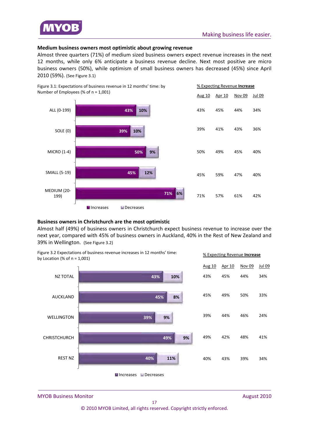

#### **Medium business owners most optimistic about growing revenue**

Almost three quarters (71%) of medium sized business owners expect revenue increases in the next 12 months, while only 6% anticipate a business revenue decline. Next most positive are micro business owners (50%), while optimism of small business owners has decreased (45%) since April 2010 (59%). (See Figure 3.1)



#### **Business owners in Christchurch are the most optimistic**

Almost half (49%) of business owners in Christchurch expect business revenue to increase over the next year, compared with 45% of business owners in Auckland, 40% in the Rest of New Zealand and 39% in Wellington. (See Figure 3.2)



MYOB Business Monitor *August 2010* 2010

© 2010 MYOB Limited, all rights reserved. Copyright strictly enforced.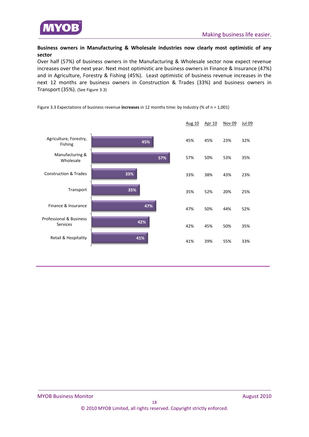

#### **Business owners in Manufacturing & Wholesale industries now clearly most optimistic of any sector**

Over half (57%) of business owners in the Manufacturing & Wholesale sector now expect revenue increases over the next year. Next most optimistic are business owners in Finance & Insurance (47%) and in Agriculture, Forestry & Fishing (45%). Least optimistic of business revenue increases in the next 12 months are business owners in Construction & Trades (33%) and business owners in Transport (35%). (See Figure 3.3)



Figure 3.3 Expectations of business revenue **increases** in 12 months time: by Industry (% of n = 1,001)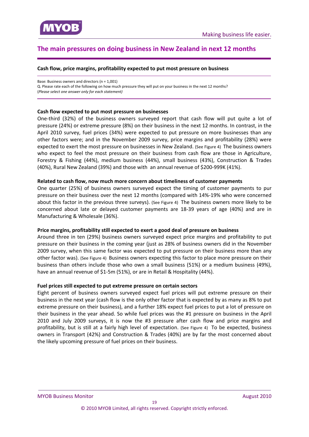<span id="page-18-0"></span>

## **The main pressures on doing business in New Zealand in next 12 months**

#### **Cash flow, price margins, profitability expected to put most pressure on business**

Base: Business owners and directors (n = 1,001)

Q. Please rate each of the following on how much pressure they will put on your business in the next 12 months? (*Please select one answer only for each statement)*

#### **Cash flow expected to put most pressure on businesses**

One‐third (32%) of the business owners surveyed report that cash flow will put quite a lot of pressure (24%) or extreme pressure (8%) on their business in the next 12 months. In contrast, in the April 2010 survey, fuel prices (34%) were expected to put pressure on more businesses than any other factors were; and in the November 2009 survey, price margins and profitability (28%) were expected to exert the most pressure on businesses in New Zealand. (See Figure 4) The business owners who expect to feel the most pressure on their business from cash flow are those in Agriculture, Forestry & Fishing (44%), medium business (44%), small business (43%), Construction & Trades (40%), Rural New Zealand (39%) and those with an annual revenue of \$200‐999K (41%).

#### **Related to cash flow, now much more concern about timeliness of customer payments**

One quarter (25%) of business owners surveyed expect the timing of customer payments to pur pressure on their business over the next 12 months (compared with 14%‐19% who were concerned about this factor in the previous three surveys). (See Figure 4) The business owners more likely to be concerned about late or delayed customer payments are 18‐39 years of age (40%) and are in Manufacturing & Wholesale (36%).

#### **Price margins, profitability still expected to exert a good deal of pressure on business**

Around three in ten (29%) business owners surveyed expect price margins and profitability to put pressure on their business in the coming year (just as 28% of business owners did in the November 2009 survey, when this same factor was expected to put pressure on their business more than any other factor was). (See Figure 4) Business owners expecting this factor to place more pressure on their business than others include those who own a small business (51%) or a medium business (49%), have an annual revenue of \$1-5m (51%), or are in Retail & Hospitality (44%).

#### **Fuel prices still expected to put extreme pressure on certain sectors**

Eight percent of business owners surveyed expect fuel prices will put extreme pressure on their business in the next year (cash flow is the only other factor that is expected by as many as 8% to put extreme pressure on their business), and a further 18% expect fuel prices to put a lot of pressure on their business in the year ahead. So while fuel prices was the #1 pressure on business in the April 2010 and July 2009 surveys, it is now the #3 pressure after cash flow and price margins and profitability, but is still at a fairly high level of expectation. (See Figure 4) To be expected, business owners in Transport (42%) and Construction & Trades (40%) are by far the most concerned about the likely upcoming pressure of fuel prices on their business.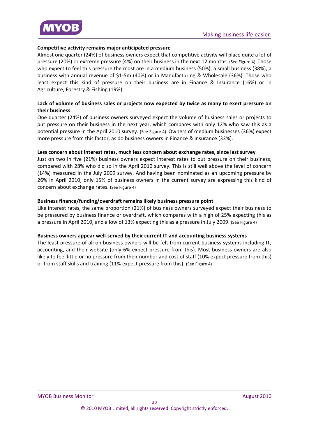

#### **Competitive activity remains major anticipated pressure**

Almost one quarter (24%) of business owners expect that competitive activity will place quite a lot of pressure (20%) or extreme pressure (4%) on their business in the next 12 months. (See Figure 4) Those who expect to feel this pressure the most are in a medium business (50%), a small business (38%), a business with annual revenue of \$1‐5m (40%) or in Manufacturing & Wholesale (36%). Those who least expect this kind of pressure on their business are in Finance & Insurance (16%) or in Agriculture, Forestry & Fishing (19%).

#### **Lack of volume of business sales or projects now expected by twice as many to exert pressure on their business**

One quarter (24%) of business owners surveyed expect the volume of business sales or projects to put pressure on their business in the next year, which compares with only 12% who saw this as a potential pressure in the April 2010 survey. (See Figure 4) Owners of medium businesses (36%) expect more pressure from this factor, as do business owners in Finance & Insurance (33%).

#### **Less concern about interest rates, much less concern about exchange rates, since last survey**

Just on two in five (21%) business owners expect interest rates to put pressure on their business, compared with 28% who did so in the April 2010 survey. This is still well above the level of concern (14%) measured in the July 2009 survey. And having been nominated as an upcoming pressure by 26% in April 2010, only 15% of business owners in the current survey are expressing this kind of concern about exchange rates. (See Figure 4)

#### **Business finance/funding/overdraft remains likely business pressure point**

Like interest rates, the same proportion (21%) of business owners surveyed expect their business to be pressured by business finance or overdraft, which compares with a high of 25% expecting this as a pressure in April 2010, and a low of 13% expecting this as a pressure in July 2009. (See Figure 4)

#### **Business owners appear well‐served by their current IT and accounting business systems**

The least pressure of all on business owners will be felt from current business systems including IT, accounting, and their website (only 6% expect pressure from this). Most business owners are also likely to feel little or no pressure from their number and cost of staff (10% expect pressure from this) or from staff skills and training (11% expect pressure from this). (See Figure 4)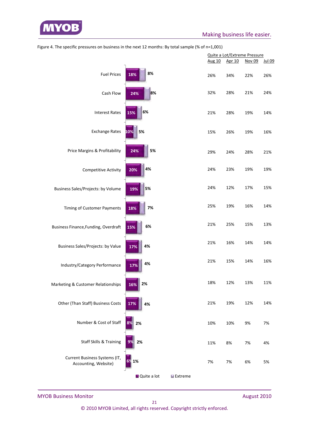

|                                                       |             |                  | Quite a Lot/Extreme Pressure |        |        |               |
|-------------------------------------------------------|-------------|------------------|------------------------------|--------|--------|---------------|
|                                                       |             |                  | Aug 10                       | Apr 10 | Nov 09 | <b>Jul 09</b> |
| <b>Fuel Prices</b>                                    | 8%<br>18%   |                  | 26%                          | 34%    | 22%    | 26%           |
| Cash Flow                                             | 8%<br>24%   |                  | 32%                          | 28%    | 21%    | 24%           |
| <b>Interest Rates</b>                                 | 6%<br>15%   |                  | 21%                          | 28%    | 19%    | 14%           |
| <b>Exchange Rates</b>                                 | 5%<br>10%   |                  | 15%                          | 26%    | 19%    | 16%           |
| Price Margins & Profitability                         | 5%<br>24%   |                  | 29%                          | 24%    | 28%    | 21%           |
| <b>Competitive Activity</b>                           | 4%<br>20%   |                  | 24%                          | 23%    | 19%    | 19%           |
| Business Sales/Projects: by Volume                    | 5%<br>19%   |                  | 24%                          | 12%    | 17%    | 15%           |
| Timing of Customer Payments                           | 7%<br>18%   |                  | 25%                          | 19%    | 16%    | 14%           |
| Business Finance, Funding, Overdraft                  | 6%<br>15%   |                  | 21%                          | 25%    | 15%    | 13%           |
| <b>Business Sales/Projects: by Value</b>              | 4%<br>17%   |                  | 21%                          | 16%    | 14%    | 14%           |
| Industry/Category Performance                         | 4%<br>17%   |                  | 21%                          | 15%    | 14%    | 16%           |
| Marketing & Customer Relationships                    | 2%<br>16%   |                  | 18%                          | 12%    | 13%    | 11%           |
| Other (Than Staff) Business Costs                     | 17%<br>4%   |                  | 21%                          | 19%    | 12%    | 14%           |
| Number & Cost of Staff                                | 2%          |                  | 10%                          | 10%    | 9%     | 7%            |
| <b>Staff Skills &amp; Training</b>                    | 2%          |                  | 11%                          | 8%     | 7%     | 4%            |
| Current Business Systems (IT,<br>Accounting, Website) | 1%<br>6%    |                  | 7%                           | 7%     | 6%     | 5%            |
|                                                       | Quite a lot | <b>■</b> Extreme |                              |        |        |               |

Figure 4. The specific pressures on business in the next 12 months: By total sample (% of n=1,001)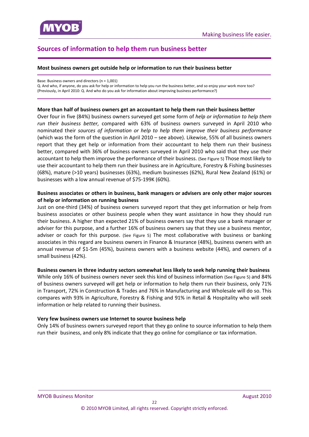<span id="page-21-0"></span>

## **Sources of information to help them run business better**

#### **Most business owners get outside help or information to run their business better**

Base: Business owners and directors (n = 1,001)

Q. And who, if anyone, do you ask for help or information to help you run the business better, and so enjoy your work more too? (Previously, in April 2010: Q. And who do you ask for information about improving business performance?)

#### **More than half of business owners get an accountant to help them run their business better**

Over four in five (84%) business owners surveyed get some form of *help or information to help them run their business better,* compared with 63% of business owners surveyed in April 2010 who nominated their *sources of information or help to help them improve their business performance* (which was the form of the question in April 2010 – see above). Likewise, 55% of all business owners report that they get help or information from their accountant to help them run their business better, compared with 36% of business owners surveyed in April 2010 who said that they use their accountant to help them improve the performance of their business. (See Figure 5) Those most likely to use their accountant to help them run their business are in Agriculture, Forestry & Fishing businesses (68%), mature (>10 years) businesses (63%), medium businesses (62%), Rural New Zealand (61%) or businesses with a low annual revenue of \$75‐199K (60%).

#### **Business associates or others in business, bank managers or advisers are only other major sources of help or information on running business**

Just on one‐third (34%) of business owners surveyed report that they get information or help from business associates or other business people when they want assistance in how they should run their business. A higher than expected 21% of business owners say that they use a bank manager or adviser for this purpose, and a further 16% of business owners say that they use a business mentor, adviser or coach for this purpose. (See Figure 5) The most collaborative with business or banking associates in this regard are business owners in Finance & Insurance (48%), business owners with an annual revenue of \$1‐5m (45%), business owners with a business website (44%), and owners of a small business (42%).

#### **Business owners in three industry sectors somewhat less likely to seek help running their business**

While only 16% of business owners never seek this kind of business information (See Figure 5) and 84% of business owners surveyed will get help or information to help them run their business, only 71% in Transport, 72% in Construction & Trades and 76% in Manufacturing and Wholesale will do so. This compares with 93% in Agriculture, Forestry & Fishing and 91% in Retail & Hospitality who will seek information or help related to running their business.

#### **Very few business owners use Internet to source business help**

Only 14% of business owners surveyed report that they go online to source information to help them run their business, and only 8% indicate that they go online for compliance or tax information.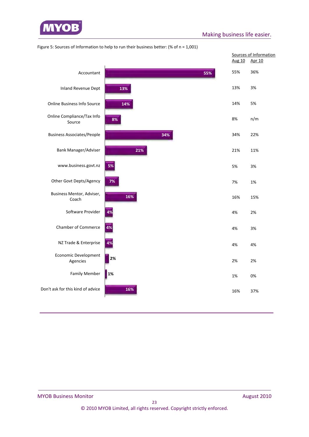

|                                      |     | <b>Aug 10</b> | Sources of Information<br>Apr 10 |
|--------------------------------------|-----|---------------|----------------------------------|
| Accountant                           | 55% | 55%           | 36%                              |
| <b>Inland Revenue Dept</b>           | 13% | 13%           | 3%                               |
| <b>Online Business Info Source</b>   | 14% | 14%           | 5%                               |
| Online Compliance/Tax Info<br>Source | 8%  | 8%            | n/m                              |
| <b>Business Associates/People</b>    | 34% | 34%           | 22%                              |
| Bank Manager/Adviser                 | 21% | 21%           | 11%                              |
| www.business.govt.nz                 | 5%  | 5%            | 3%                               |
| Other Govt Depts/Agency              | 7%  | 7%            | 1%                               |
| Business Mentor, Adviser,<br>Coach   | 16% | 16%           | 15%                              |
| Software Provider                    | 4%  | 4%            | 2%                               |
| <b>Chamber of Commerce</b>           | 4%  | 4%            | 3%                               |
| NZ Trade & Enterprise                | 4%  | 4%            | 4%                               |
| Economic Development<br>Agencies     | 2%  | 2%            | 2%                               |
| <b>Family Member</b>                 | 1%  | 1%            | 0%                               |
| Don't ask for this kind of advice    | 16% | 16%           | 37%                              |

Figure 5: Sources of Information to help to run their business better: (% of n = 1,001)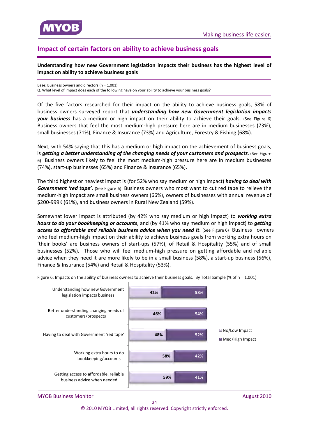<span id="page-23-0"></span>

## **Impact of certain factors on ability to achieve business goals**

**Understanding how new Government legislation impacts their business has the highest level of impact on ability to achieve business goals**

Base: Business owners and directors (n = 1,001) Q. What level of impact does each of the following have on your ability to achieve your business goals?

Of the five factors researched for their impact on the ability to achieve business goals, 58% of business owners surveyed report that *understanding how new Government legislation impacts* **your business** has a medium or high impact on their ability to achieve their goals. (See Figure 6) Business owners that feel the most medium-high pressure here are in medium businesses (73%), small businesses (71%), Finance & Insurance (73%) and Agriculture, Forestry & Fishing (68%).

Next, with 54% saying that this has a medium or high impact on the achievement of business goals, is *getting a better understanding of the changing needs of your customers and prospects*. (See Figure 6) Business owners likely to feel the most medium-high pressure here are in medium businesses (74%), start‐up businesses (65%) and Finance & Insurance (65%).

The third highest or heaviest impact is (for 52% who say medium or high impact) *having to deal with Government 'red tape'*. (See Figure 6) Business owners who most want to cut red tape to relieve the medium‐high impact are small business owners (66%), owners of businesses with annual revenue of \$200‐999K (61%), and business owners in Rural New Zealand (59%).

Somewhat lower impact is attributed (by 42% who say medium or high impact) to *working extra hours to do your bookkeeping or accounts*, and (by 41% who say medium or high impact) to *getting access to affordable and reliable business advice when you need it*. (See Figure 6) Business owners who feel medium‐high impact on their ability to achieve business goals from working extra hours on 'their books' are business owners of start‐ups (57%), of Retail & Hospitality (55%) and of small businesses (52%). Those who will feel medium‐high pressure on getting affordable and reliable advice when they need it are more likely to be in a small business (58%), a start‐up business (56%), Finance & Insurance (54%) and Retail & Hospitality (53%).



Figure 6: Impacts on the ability of business owners to achieve their business goals. By Total Sample (% of  $n = 1,001$ )

MYOB Business Monitor *August 2010* 2010

 $24$ © 2010 MYOB Limited, all rights reserved. Copyright strictly enforced.